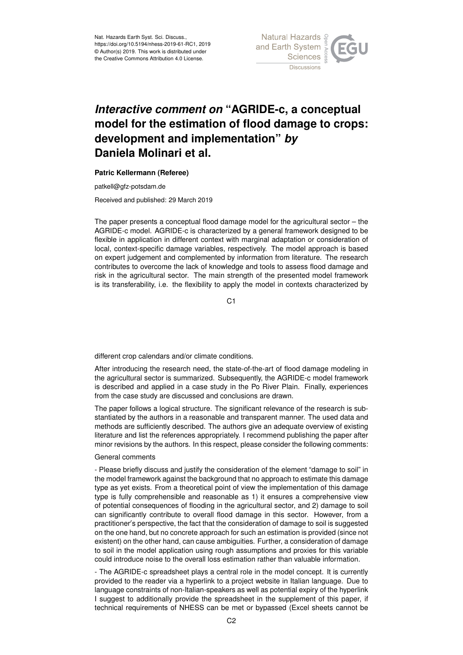

## *Interactive comment on* **"AGRIDE-c, a conceptual model for the estimation of flood damage to crops: development and implementation"** *by* **Daniela Molinari et al.**

## **Patric Kellermann (Referee)**

patkell@gfz-potsdam.de

Received and published: 29 March 2019

The paper presents a conceptual flood damage model for the agricultural sector – the AGRIDE-c model. AGRIDE-c is characterized by a general framework designed to be flexible in application in different context with marginal adaptation or consideration of local, context-specific damage variables, respectively. The model approach is based on expert judgement and complemented by information from literature. The research contributes to overcome the lack of knowledge and tools to assess flood damage and risk in the agricultural sector. The main strength of the presented model framework is its transferability, i.e. the flexibility to apply the model in contexts characterized by

C1

different crop calendars and/or climate conditions.

After introducing the research need, the state-of-the-art of flood damage modeling in the agricultural sector is summarized. Subsequently, the AGRIDE-c model framework is described and applied in a case study in the Po River Plain. Finally, experiences from the case study are discussed and conclusions are drawn.

The paper follows a logical structure. The significant relevance of the research is substantiated by the authors in a reasonable and transparent manner. The used data and methods are sufficiently described. The authors give an adequate overview of existing literature and list the references appropriately. I recommend publishing the paper after minor revisions by the authors. In this respect, please consider the following comments:

## General comments

- Please briefly discuss and justify the consideration of the element "damage to soil" in the model framework against the background that no approach to estimate this damage type as yet exists. From a theoretical point of view the implementation of this damage type is fully comprehensible and reasonable as 1) it ensures a comprehensive view of potential consequences of flooding in the agricultural sector, and 2) damage to soil can significantly contribute to overall flood damage in this sector. However, from a practitioner's perspective, the fact that the consideration of damage to soil is suggested on the one hand, but no concrete approach for such an estimation is provided (since not existent) on the other hand, can cause ambiguities. Further, a consideration of damage to soil in the model application using rough assumptions and proxies for this variable could introduce noise to the overall loss estimation rather than valuable information.

- The AGRIDE-c spreadsheet plays a central role in the model concept. It is currently provided to the reader via a hyperlink to a project website in Italian language. Due to language constraints of non-Italian-speakers as well as potential expiry of the hyperlink I suggest to additionally provide the spreadsheet in the supplement of this paper, if technical requirements of NHESS can be met or bypassed (Excel sheets cannot be